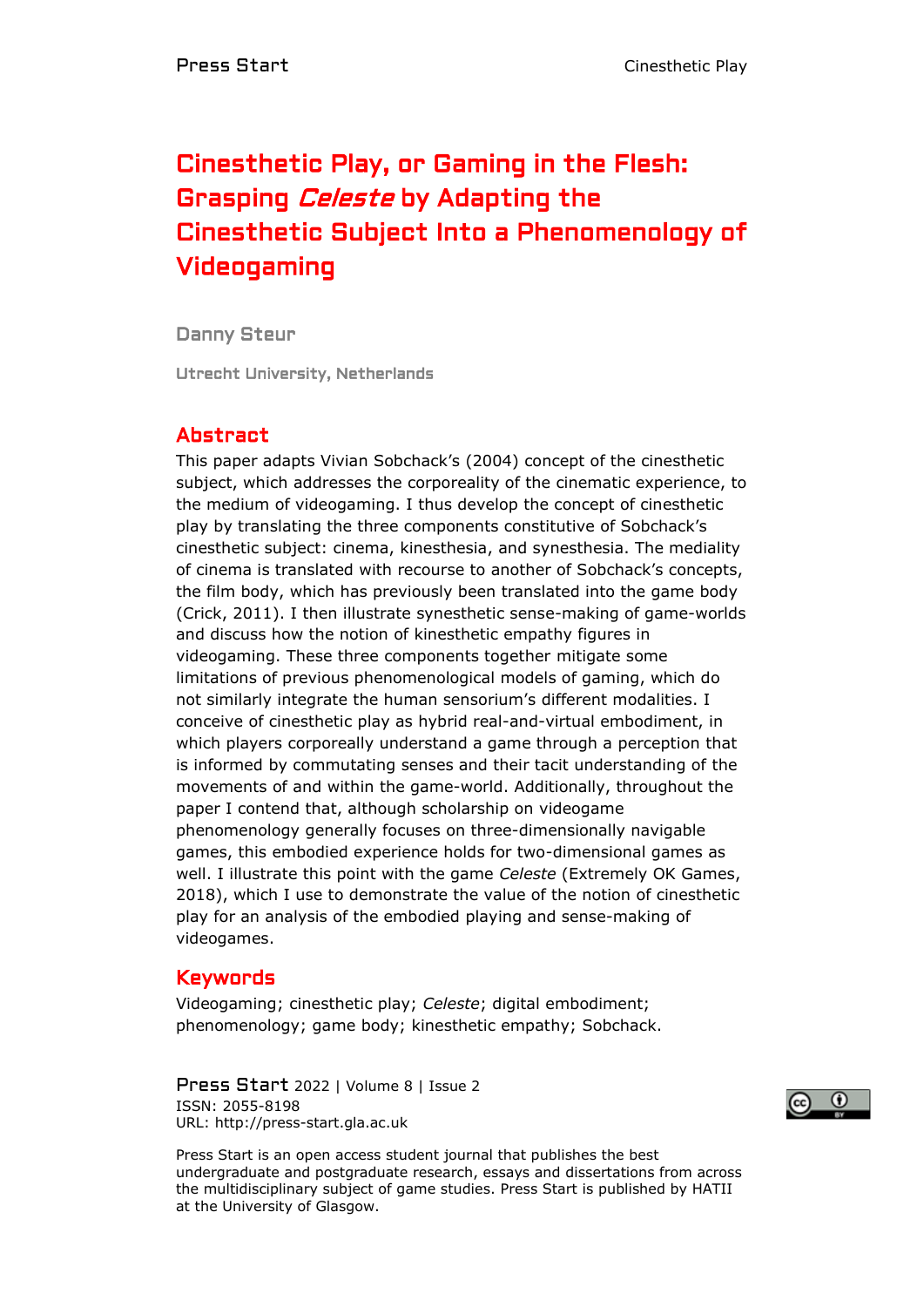# Cinesthetic Play, or Gaming in the Flesh: Grasping Celeste by Adapting the Cinesthetic Subject Into a Phenomenology of Videogaming

Danny Steur

Utrecht University, Netherlands

#### Abstract

This paper adapts Vivian Sobchack's (2004) concept of the cinesthetic subject, which addresses the corporeality of the cinematic experience, to the medium of videogaming. I thus develop the concept of cinesthetic play by translating the three components constitutive of Sobchack's cinesthetic subject: cinema, kinesthesia, and synesthesia. The mediality of cinema is translated with recourse to another of Sobchack's concepts, the film body, which has previously been translated into the game body (Crick, 2011). I then illustrate synesthetic sense-making of game-worlds and discuss how the notion of kinesthetic empathy figures in videogaming. These three components together mitigate some limitations of previous phenomenological models of gaming, which do not similarly integrate the human sensorium's different modalities. I conceive of cinesthetic play as hybrid real-and-virtual embodiment, in which players corporeally understand a game through a perception that is informed by commutating senses and their tacit understanding of the movements of and within the game-world. Additionally, throughout the paper I contend that, although scholarship on videogame phenomenology generally focuses on three-dimensionally navigable games, this embodied experience holds for two-dimensional games as well. I illustrate this point with the game *Celeste* (Extremely OK Games, 2018), which I use to demonstrate the value of the notion of cinesthetic play for an analysis of the embodied playing and sense-making of videogames.

#### Keywords

Videogaming; cinesthetic play; *Celeste*; digital embodiment; phenomenology; game body; kinesthetic empathy; Sobchack.

Press Start 2022 | Volume 8 | Issue 2 ISSN: 2055-8198 URL: http://press-start.gla.ac.uk



Press Start is an open access student journal that publishes the best undergraduate and postgraduate research, essays and dissertations from across the multidisciplinary subject of game studies. Press Start is published by HATII at the University of Glasgow.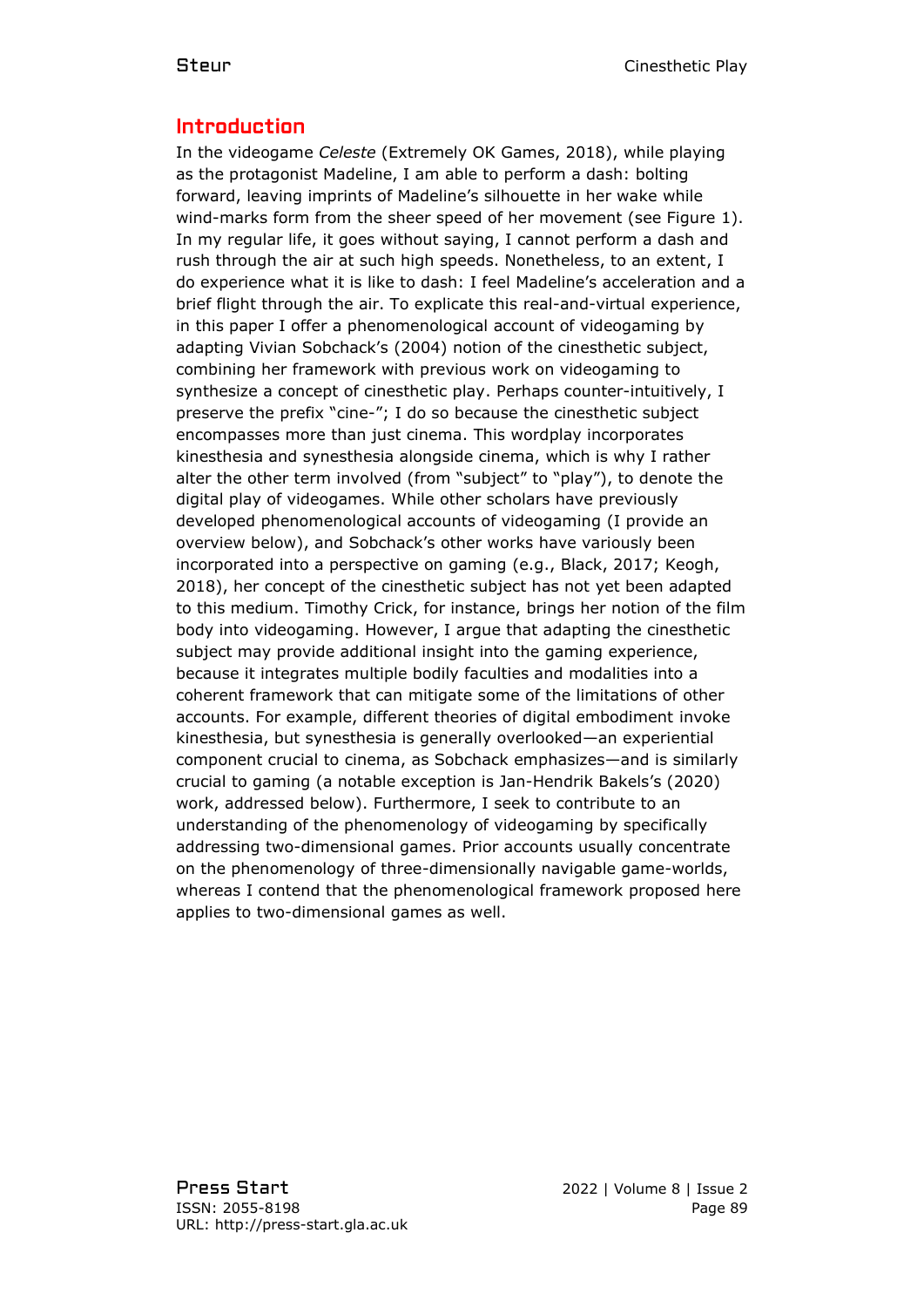## Introduction

In the videogame *Celeste* (Extremely OK Games, 2018), while playing as the protagonist Madeline, I am able to perform a dash: bolting forward, leaving imprints of Madeline's silhouette in her wake while wind-marks form from the sheer speed of her movement (see Figure 1). In my regular life, it goes without saying, I cannot perform a dash and rush through the air at such high speeds. Nonetheless, to an extent, I do experience what it is like to dash: I feel Madeline's acceleration and a brief flight through the air. To explicate this real-and-virtual experience, in this paper I offer a phenomenological account of videogaming by adapting Vivian Sobchack's (2004) notion of the cinesthetic subject, combining her framework with previous work on videogaming to synthesize a concept of cinesthetic play. Perhaps counter-intuitively, I preserve the prefix "cine-"; I do so because the cinesthetic subject encompasses more than just cinema. This wordplay incorporates kinesthesia and synesthesia alongside cinema, which is why I rather alter the other term involved (from "subject" to "play"), to denote the digital play of videogames. While other scholars have previously developed phenomenological accounts of videogaming (I provide an overview below), and Sobchack's other works have variously been incorporated into a perspective on gaming (e.g., Black, 2017; Keogh, 2018), her concept of the cinesthetic subject has not yet been adapted to this medium. Timothy Crick, for instance, brings her notion of the film body into videogaming. However, I argue that adapting the cinesthetic subject may provide additional insight into the gaming experience, because it integrates multiple bodily faculties and modalities into a coherent framework that can mitigate some of the limitations of other accounts. For example, different theories of digital embodiment invoke kinesthesia, but synesthesia is generally overlooked—an experiential component crucial to cinema, as Sobchack emphasizes—and is similarly crucial to gaming (a notable exception is Jan-Hendrik Bakels's (2020) work, addressed below). Furthermore, I seek to contribute to an understanding of the phenomenology of videogaming by specifically addressing two-dimensional games. Prior accounts usually concentrate on the phenomenology of three-dimensionally navigable game-worlds, whereas I contend that the phenomenological framework proposed here applies to two-dimensional games as well.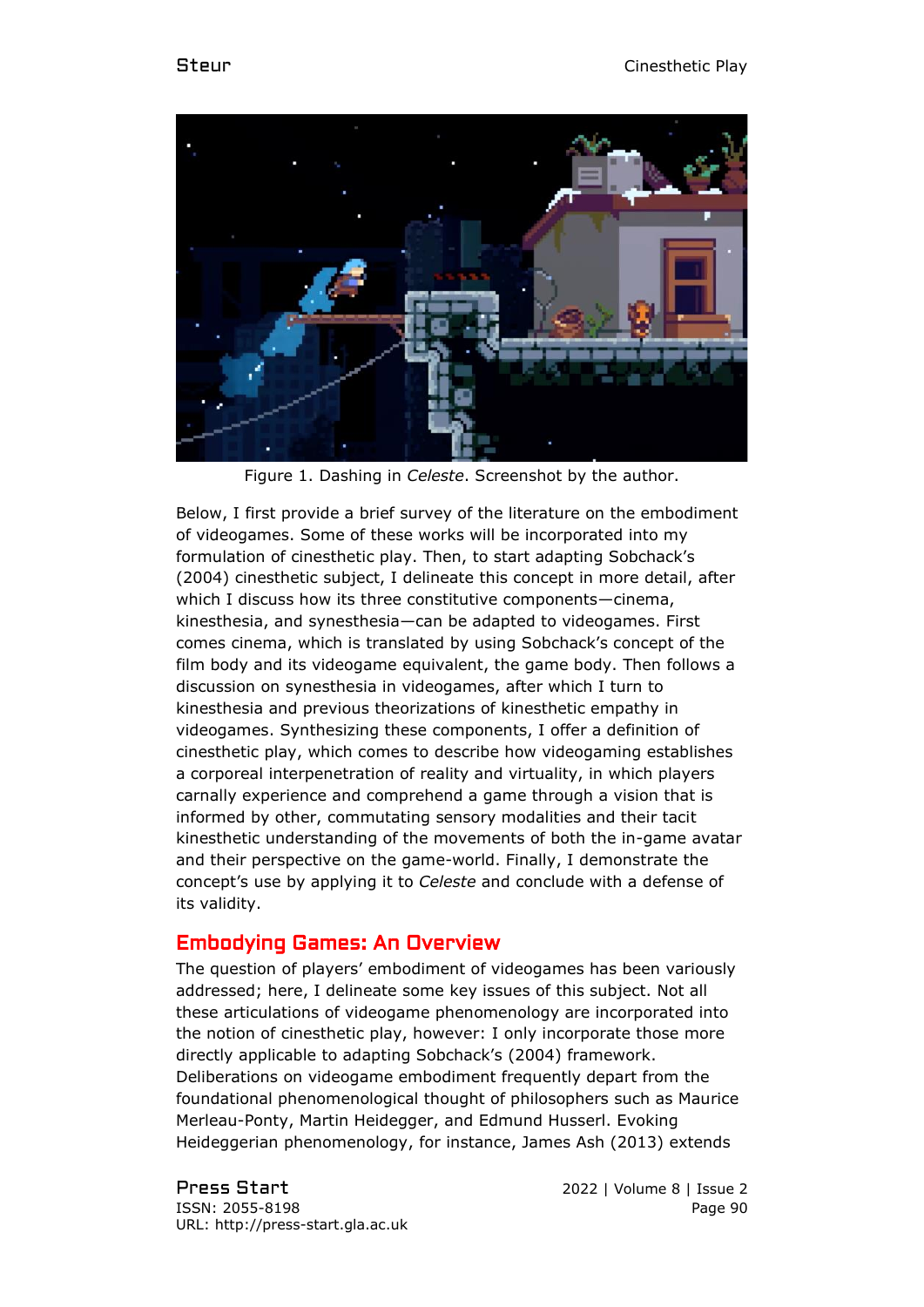

Figure 1. Dashing in *Celeste*. Screenshot by the author.

Below, I first provide a brief survey of the literature on the embodiment of videogames. Some of these works will be incorporated into my formulation of cinesthetic play. Then, to start adapting Sobchack's (2004) cinesthetic subject, I delineate this concept in more detail, after which I discuss how its three constitutive components—cinema, kinesthesia, and synesthesia—can be adapted to videogames. First comes cinema, which is translated by using Sobchack's concept of the film body and its videogame equivalent, the game body. Then follows a discussion on synesthesia in videogames, after which I turn to kinesthesia and previous theorizations of kinesthetic empathy in videogames. Synthesizing these components, I offer a definition of cinesthetic play, which comes to describe how videogaming establishes a corporeal interpenetration of reality and virtuality, in which players carnally experience and comprehend a game through a vision that is informed by other, commutating sensory modalities and their tacit kinesthetic understanding of the movements of both the in-game avatar and their perspective on the game-world. Finally, I demonstrate the concept's use by applying it to *Celeste* and conclude with a defense of its validity.

## Embodying Games: An Overview

The question of players' embodiment of videogames has been variously addressed; here, I delineate some key issues of this subject. Not all these articulations of videogame phenomenology are incorporated into the notion of cinesthetic play, however: I only incorporate those more directly applicable to adapting Sobchack's (2004) framework. Deliberations on videogame embodiment frequently depart from the foundational phenomenological thought of philosophers such as Maurice Merleau-Ponty, Martin Heidegger, and Edmund Husserl. Evoking Heideggerian phenomenology, for instance, James Ash (2013) extends

Press Start 2022 | Volume 8 | Issue 2 ISSN: 2055-8198 Page 90 URL: http://press-start.gla.ac.uk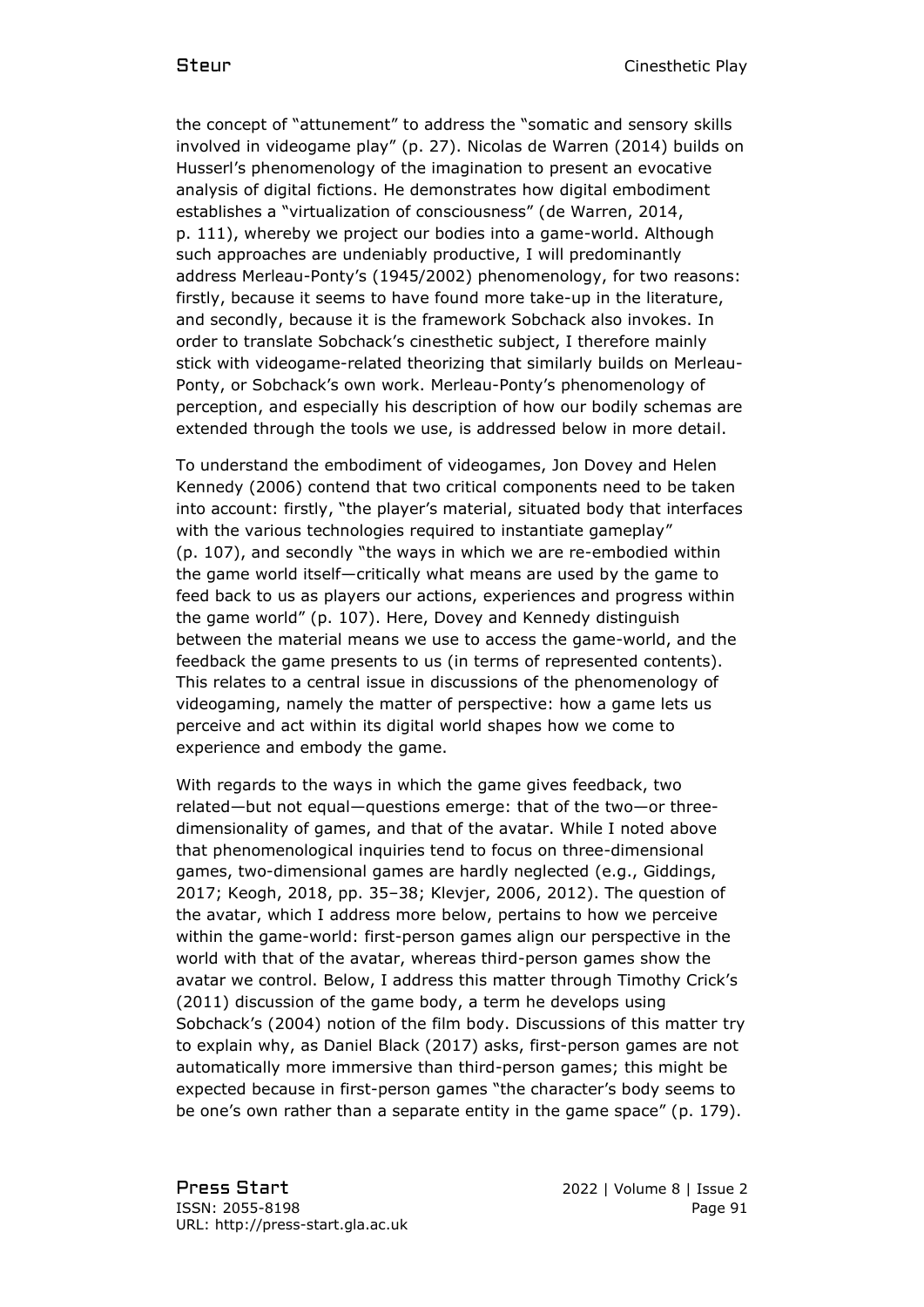the concept of "attunement" to address the "somatic and sensory skills involved in videogame play" (p. 27). Nicolas de Warren (2014) builds on Husserl's phenomenology of the imagination to present an evocative analysis of digital fictions. He demonstrates how digital embodiment establishes a "virtualization of consciousness" (de Warren, 2014, p. 111), whereby we project our bodies into a game-world. Although such approaches are undeniably productive, I will predominantly address Merleau-Ponty's (1945/2002) phenomenology, for two reasons: firstly, because it seems to have found more take-up in the literature, and secondly, because it is the framework Sobchack also invokes. In order to translate Sobchack's cinesthetic subject, I therefore mainly stick with videogame-related theorizing that similarly builds on Merleau-Ponty, or Sobchack's own work. Merleau-Ponty's phenomenology of perception, and especially his description of how our bodily schemas are extended through the tools we use, is addressed below in more detail.

To understand the embodiment of videogames, Jon Dovey and Helen Kennedy (2006) contend that two critical components need to be taken into account: firstly, "the player's material, situated body that interfaces with the various technologies required to instantiate gameplay" (p. 107), and secondly "the ways in which we are re-embodied within the game world itself—critically what means are used by the game to feed back to us as players our actions, experiences and progress within the game world" (p. 107). Here, Dovey and Kennedy distinguish between the material means we use to access the game-world, and the feedback the game presents to us (in terms of represented contents). This relates to a central issue in discussions of the phenomenology of videogaming, namely the matter of perspective: how a game lets us perceive and act within its digital world shapes how we come to experience and embody the game.

With regards to the ways in which the game gives feedback, two related—but not equal—questions emerge: that of the two—or threedimensionality of games, and that of the avatar. While I noted above that phenomenological inquiries tend to focus on three-dimensional games, two-dimensional games are hardly neglected (e.g., Giddings, 2017; Keogh, 2018, pp. 35–38; Klevjer, 2006, 2012). The question of the avatar, which I address more below, pertains to how we perceive within the game-world: first-person games align our perspective in the world with that of the avatar, whereas third-person games show the avatar we control. Below, I address this matter through Timothy Crick's (2011) discussion of the game body, a term he develops using Sobchack's (2004) notion of the film body. Discussions of this matter try to explain why, as Daniel Black (2017) asks, first-person games are not automatically more immersive than third-person games; this might be expected because in first-person games "the character's body seems to be one's own rather than a separate entity in the game space" (p. 179).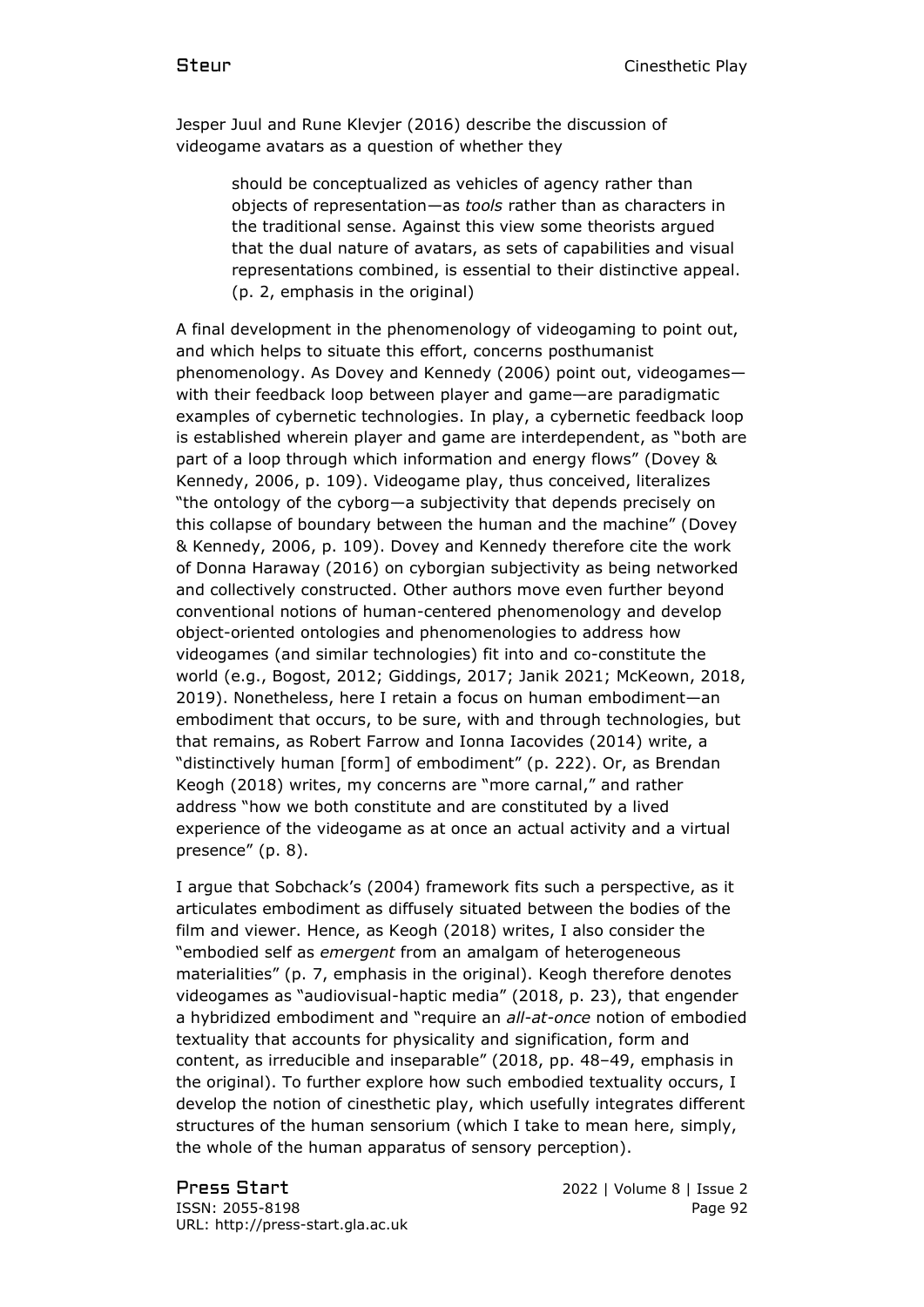Jesper Juul and Rune Klevjer (2016) describe the discussion of videogame avatars as a question of whether they

> should be conceptualized as vehicles of agency rather than objects of representation—as *tools* rather than as characters in the traditional sense. Against this view some theorists argued that the dual nature of avatars, as sets of capabilities and visual representations combined, is essential to their distinctive appeal. (p. 2, emphasis in the original)

A final development in the phenomenology of videogaming to point out, and which helps to situate this effort, concerns posthumanist phenomenology. As Dovey and Kennedy (2006) point out, videogames with their feedback loop between player and game—are paradigmatic examples of cybernetic technologies. In play, a cybernetic feedback loop is established wherein player and game are interdependent, as "both are part of a loop through which information and energy flows" (Dovey & Kennedy, 2006, p. 109). Videogame play, thus conceived, literalizes "the ontology of the cyborg—a subjectivity that depends precisely on this collapse of boundary between the human and the machine" (Dovey & Kennedy, 2006, p. 109). Dovey and Kennedy therefore cite the work of Donna Haraway (2016) on cyborgian subjectivity as being networked and collectively constructed. Other authors move even further beyond conventional notions of human-centered phenomenology and develop object-oriented ontologies and phenomenologies to address how videogames (and similar technologies) fit into and co-constitute the world (e.g., Bogost, 2012; Giddings, 2017; Janik 2021; McKeown, 2018, 2019). Nonetheless, here I retain a focus on human embodiment—an embodiment that occurs, to be sure, with and through technologies, but that remains, as Robert Farrow and Ionna Iacovides (2014) write, a "distinctively human [form] of embodiment" (p. 222). Or, as Brendan Keogh (2018) writes, my concerns are "more carnal," and rather address "how we both constitute and are constituted by a lived experience of the videogame as at once an actual activity and a virtual presence" (p. 8).

I argue that Sobchack's (2004) framework fits such a perspective, as it articulates embodiment as diffusely situated between the bodies of the film and viewer. Hence, as Keogh (2018) writes, I also consider the "embodied self as *emergent* from an amalgam of heterogeneous materialities" (p. 7, emphasis in the original). Keogh therefore denotes videogames as "audiovisual-haptic media" (2018, p. 23), that engender a hybridized embodiment and "require an *all-at-once* notion of embodied textuality that accounts for physicality and signification, form and content, as irreducible and inseparable" (2018, pp. 48–49, emphasis in the original). To further explore how such embodied textuality occurs, I develop the notion of cinesthetic play, which usefully integrates different structures of the human sensorium (which I take to mean here, simply, the whole of the human apparatus of sensory perception).

Press Start 2022 | Volume 8 | Issue 2 ISSN: 2055-8198 Page 92 URL: http://press-start.gla.ac.uk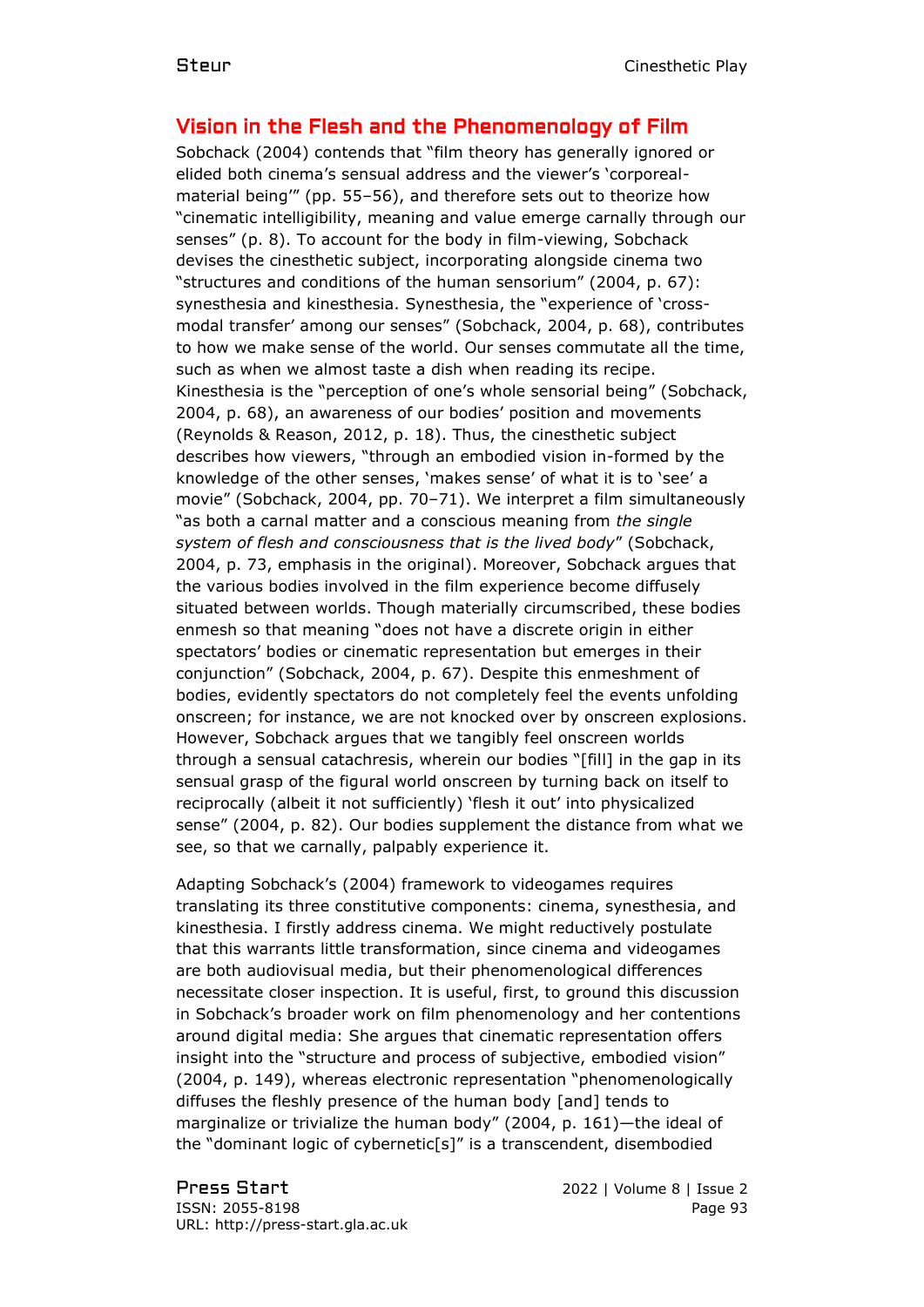# Vision in the Flesh and the Phenomenology of Film

Sobchack (2004) contends that "film theory has generally ignored or elided both cinema's sensual address and the viewer's 'corporealmaterial being'" (pp. 55–56), and therefore sets out to theorize how "cinematic intelligibility, meaning and value emerge carnally through our senses" (p. 8). To account for the body in film-viewing, Sobchack devises the cinesthetic subject, incorporating alongside cinema two "structures and conditions of the human sensorium" (2004, p. 67): synesthesia and kinesthesia. Synesthesia, the "experience of 'crossmodal transfer' among our senses" (Sobchack, 2004, p. 68), contributes to how we make sense of the world. Our senses commutate all the time, such as when we almost taste a dish when reading its recipe. Kinesthesia is the "perception of one's whole sensorial being" (Sobchack, 2004, p. 68), an awareness of our bodies' position and movements (Reynolds & Reason, 2012, p. 18). Thus, the cinesthetic subject describes how viewers, "through an embodied vision in-formed by the knowledge of the other senses, 'makes sense' of what it is to 'see' a movie" (Sobchack, 2004, pp. 70–71). We interpret a film simultaneously "as both a carnal matter and a conscious meaning from *the single system of flesh and consciousness that is the lived body*" (Sobchack, 2004, p. 73, emphasis in the original). Moreover, Sobchack argues that the various bodies involved in the film experience become diffusely situated between worlds. Though materially circumscribed, these bodies enmesh so that meaning "does not have a discrete origin in either spectators' bodies or cinematic representation but emerges in their conjunction" (Sobchack, 2004, p. 67). Despite this enmeshment of bodies, evidently spectators do not completely feel the events unfolding onscreen; for instance, we are not knocked over by onscreen explosions. However, Sobchack argues that we tangibly feel onscreen worlds through a sensual catachresis, wherein our bodies "[fill] in the gap in its sensual grasp of the figural world onscreen by turning back on itself to reciprocally (albeit it not sufficiently) 'flesh it out' into physicalized sense" (2004, p. 82). Our bodies supplement the distance from what we see, so that we carnally, palpably experience it.

Adapting Sobchack's (2004) framework to videogames requires translating its three constitutive components: cinema, synesthesia, and kinesthesia. I firstly address cinema. We might reductively postulate that this warrants little transformation, since cinema and videogames are both audiovisual media, but their phenomenological differences necessitate closer inspection. It is useful, first, to ground this discussion in Sobchack's broader work on film phenomenology and her contentions around digital media: She argues that cinematic representation offers insight into the "structure and process of subjective, embodied vision" (2004, p. 149), whereas electronic representation "phenomenologically diffuses the fleshly presence of the human body [and] tends to marginalize or trivialize the human body" (2004, p. 161)—the ideal of the "dominant logic of cybernetic[s]" is a transcendent, disembodied

Press Start 2022 | Volume 8 | Issue 2 ISSN: 2055-8198 Page 93 URL: http://press-start.gla.ac.uk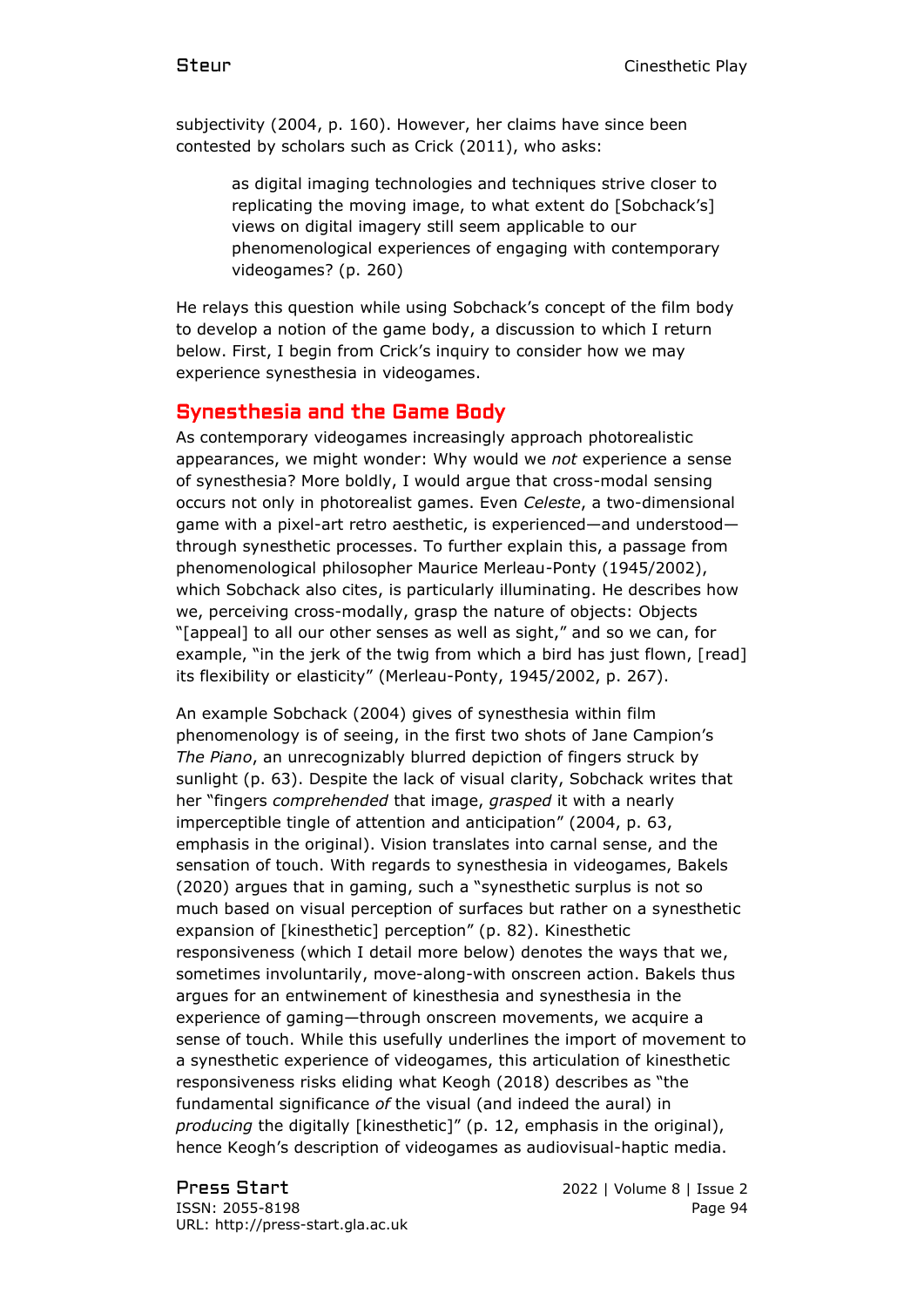subjectivity (2004, p. 160). However, her claims have since been contested by scholars such as Crick (2011), who asks:

> as digital imaging technologies and techniques strive closer to replicating the moving image, to what extent do [Sobchack's] views on digital imagery still seem applicable to our phenomenological experiences of engaging with contemporary videogames? (p. 260)

He relays this question while using Sobchack's concept of the film body to develop a notion of the game body, a discussion to which I return below. First, I begin from Crick's inquiry to consider how we may experience synesthesia in videogames.

#### Synesthesia and the Game Body

As contemporary videogames increasingly approach photorealistic appearances, we might wonder: Why would we *not* experience a sense of synesthesia? More boldly, I would argue that cross-modal sensing occurs not only in photorealist games. Even *Celeste*, a two-dimensional game with a pixel-art retro aesthetic, is experienced—and understood through synesthetic processes. To further explain this, a passage from phenomenological philosopher Maurice Merleau-Ponty (1945/2002), which Sobchack also cites, is particularly illuminating. He describes how we, perceiving cross-modally, grasp the nature of objects: Objects "[appeal] to all our other senses as well as sight," and so we can, for example, "in the jerk of the twig from which a bird has just flown, [read] its flexibility or elasticity" (Merleau-Ponty, 1945/2002, p. 267).

An example Sobchack (2004) gives of synesthesia within film phenomenology is of seeing, in the first two shots of Jane Campion's *The Piano*, an unrecognizably blurred depiction of fingers struck by sunlight (p. 63). Despite the lack of visual clarity, Sobchack writes that her "fingers *comprehended* that image, *grasped* it with a nearly imperceptible tingle of attention and anticipation" (2004, p. 63, emphasis in the original). Vision translates into carnal sense, and the sensation of touch. With regards to synesthesia in videogames, Bakels (2020) argues that in gaming, such a "synesthetic surplus is not so much based on visual perception of surfaces but rather on a synesthetic expansion of [kinesthetic] perception" (p. 82). Kinesthetic responsiveness (which I detail more below) denotes the ways that we, sometimes involuntarily, move-along-with onscreen action. Bakels thus argues for an entwinement of kinesthesia and synesthesia in the experience of gaming—through onscreen movements, we acquire a sense of touch. While this usefully underlines the import of movement to a synesthetic experience of videogames, this articulation of kinesthetic responsiveness risks eliding what Keogh (2018) describes as "the fundamental significance *of* the visual (and indeed the aural) in *producing* the digitally [kinesthetic]" (p. 12, emphasis in the original), hence Keogh's description of videogames as audiovisual-haptic media.

Press Start 2022 | Volume 8 | Issue 2 ISSN: 2055-8198 Page 94 URL: http://press-start.gla.ac.uk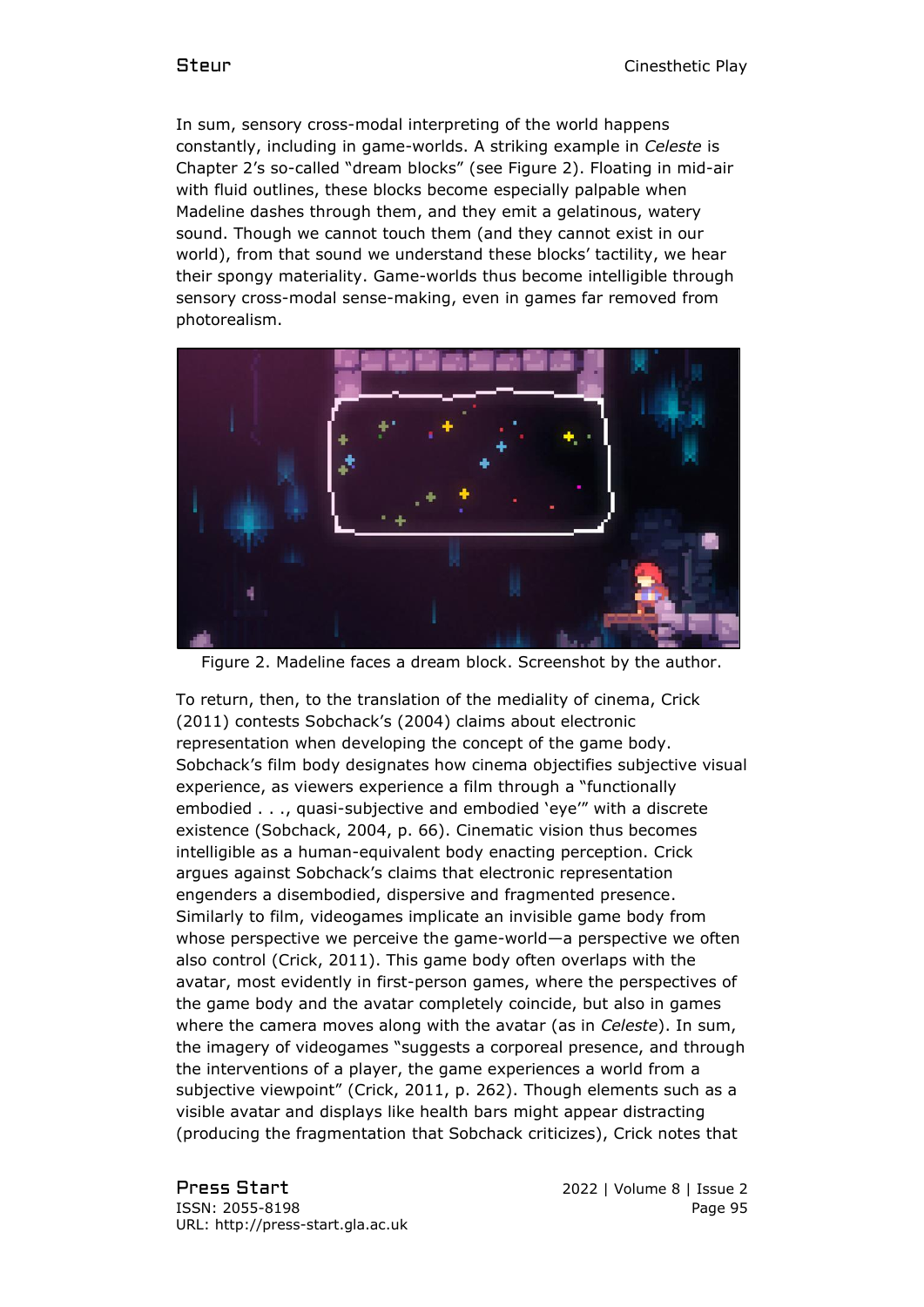In sum, sensory cross-modal interpreting of the world happens constantly, including in game-worlds. A striking example in *Celeste* is Chapter 2's so-called "dream blocks" (see Figure 2). Floating in mid-air with fluid outlines, these blocks become especially palpable when Madeline dashes through them, and they emit a gelatinous, watery sound. Though we cannot touch them (and they cannot exist in our world), from that sound we understand these blocks' tactility, we hear their spongy materiality. Game-worlds thus become intelligible through sensory cross-modal sense-making, even in games far removed from photorealism.



Figure 2. Madeline faces a dream block. Screenshot by the author.

To return, then, to the translation of the mediality of cinema, Crick (2011) contests Sobchack's (2004) claims about electronic representation when developing the concept of the game body. Sobchack's film body designates how cinema objectifies subjective visual experience, as viewers experience a film through a "functionally embodied . . ., quasi-subjective and embodied 'eye'" with a discrete existence (Sobchack, 2004, p. 66). Cinematic vision thus becomes intelligible as a human-equivalent body enacting perception. Crick argues against Sobchack's claims that electronic representation engenders a disembodied, dispersive and fragmented presence. Similarly to film, videogames implicate an invisible game body from whose perspective we perceive the game-world—a perspective we often also control (Crick, 2011). This game body often overlaps with the avatar, most evidently in first-person games, where the perspectives of the game body and the avatar completely coincide, but also in games where the camera moves along with the avatar (as in *Celeste*). In sum, the imagery of videogames "suggests a corporeal presence, and through the interventions of a player, the game experiences a world from a subjective viewpoint" (Crick, 2011, p. 262). Though elements such as a visible avatar and displays like health bars might appear distracting (producing the fragmentation that Sobchack criticizes), Crick notes that

Press Start 2022 | Volume 8 | Issue 2 ISSN: 2055-8198 Page 95 URL: http://press-start.gla.ac.uk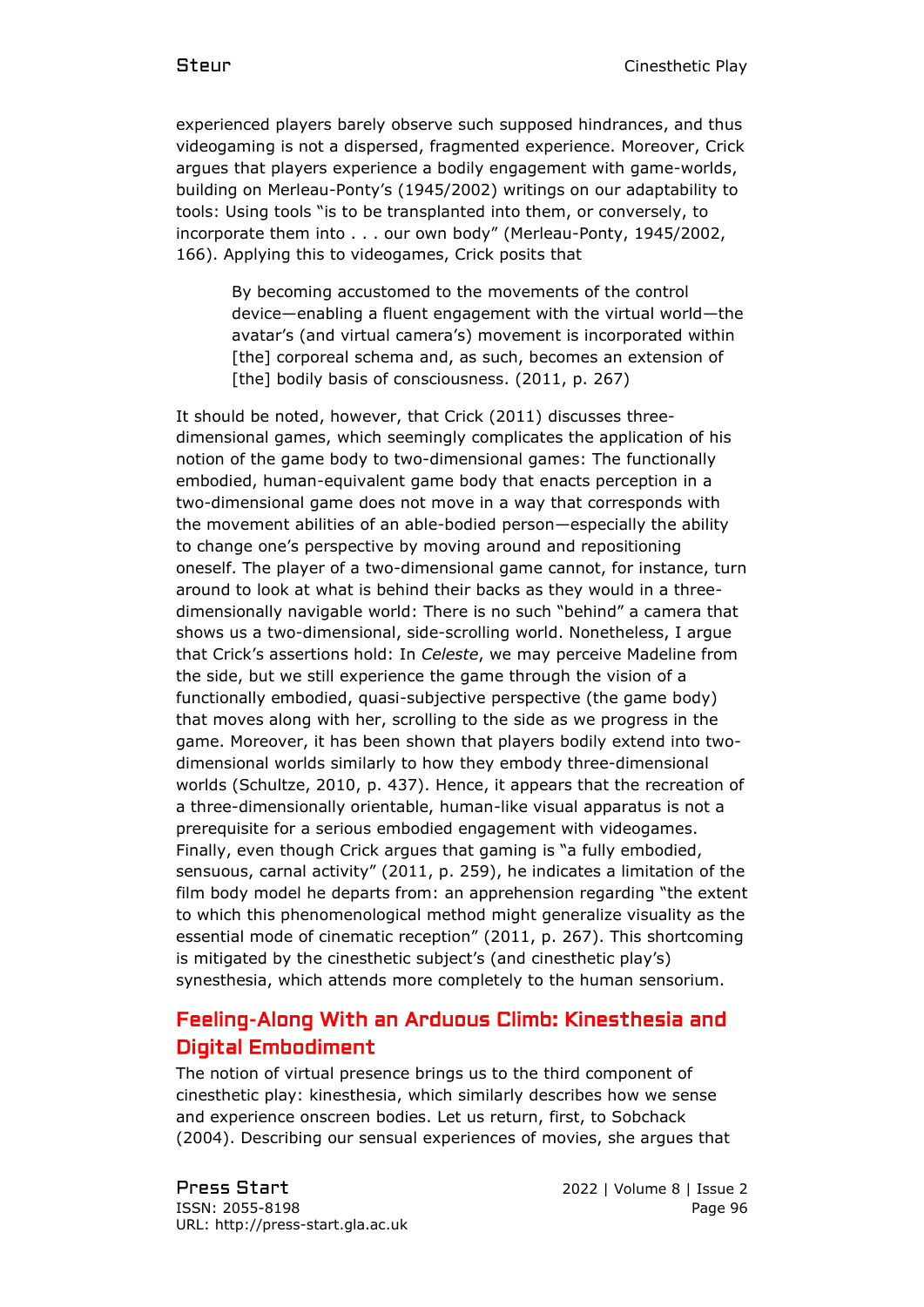experienced players barely observe such supposed hindrances, and thus videogaming is not a dispersed, fragmented experience. Moreover, Crick argues that players experience a bodily engagement with game-worlds, building on Merleau-Ponty's (1945/2002) writings on our adaptability to tools: Using tools "is to be transplanted into them, or conversely, to incorporate them into . . . our own body" (Merleau-Ponty, 1945/2002, 166). Applying this to videogames, Crick posits that

By becoming accustomed to the movements of the control device—enabling a fluent engagement with the virtual world—the avatar's (and virtual camera's) movement is incorporated within [the] corporeal schema and, as such, becomes an extension of [the] bodily basis of consciousness. (2011, p. 267)

It should be noted, however, that Crick (2011) discusses threedimensional games, which seemingly complicates the application of his notion of the game body to two-dimensional games: The functionally embodied, human-equivalent game body that enacts perception in a two-dimensional game does not move in a way that corresponds with the movement abilities of an able-bodied person—especially the ability to change one's perspective by moving around and repositioning oneself. The player of a two-dimensional game cannot, for instance, turn around to look at what is behind their backs as they would in a threedimensionally navigable world: There is no such "behind" a camera that shows us a two-dimensional, side-scrolling world. Nonetheless, I argue that Crick's assertions hold: In *Celeste*, we may perceive Madeline from the side, but we still experience the game through the vision of a functionally embodied, quasi-subjective perspective (the game body) that moves along with her, scrolling to the side as we progress in the game. Moreover, it has been shown that players bodily extend into twodimensional worlds similarly to how they embody three-dimensional worlds (Schultze, 2010, p. 437). Hence, it appears that the recreation of a three-dimensionally orientable, human-like visual apparatus is not a prerequisite for a serious embodied engagement with videogames. Finally, even though Crick argues that gaming is "a fully embodied, sensuous, carnal activity" (2011, p. 259), he indicates a limitation of the film body model he departs from: an apprehension regarding "the extent to which this phenomenological method might generalize visuality as the essential mode of cinematic reception" (2011, p. 267). This shortcoming is mitigated by the cinesthetic subject's (and cinesthetic play's) synesthesia, which attends more completely to the human sensorium.

# Feeling-Along With an Arduous Climb: Kinesthesia and Digital Embodiment

The notion of virtual presence brings us to the third component of cinesthetic play: kinesthesia, which similarly describes how we sense and experience onscreen bodies. Let us return, first, to Sobchack (2004). Describing our sensual experiences of movies, she argues that

Press Start 2022 | Volume 8 | Issue 2 ISSN: 2055-8198 Page 96 URL: http://press-start.gla.ac.uk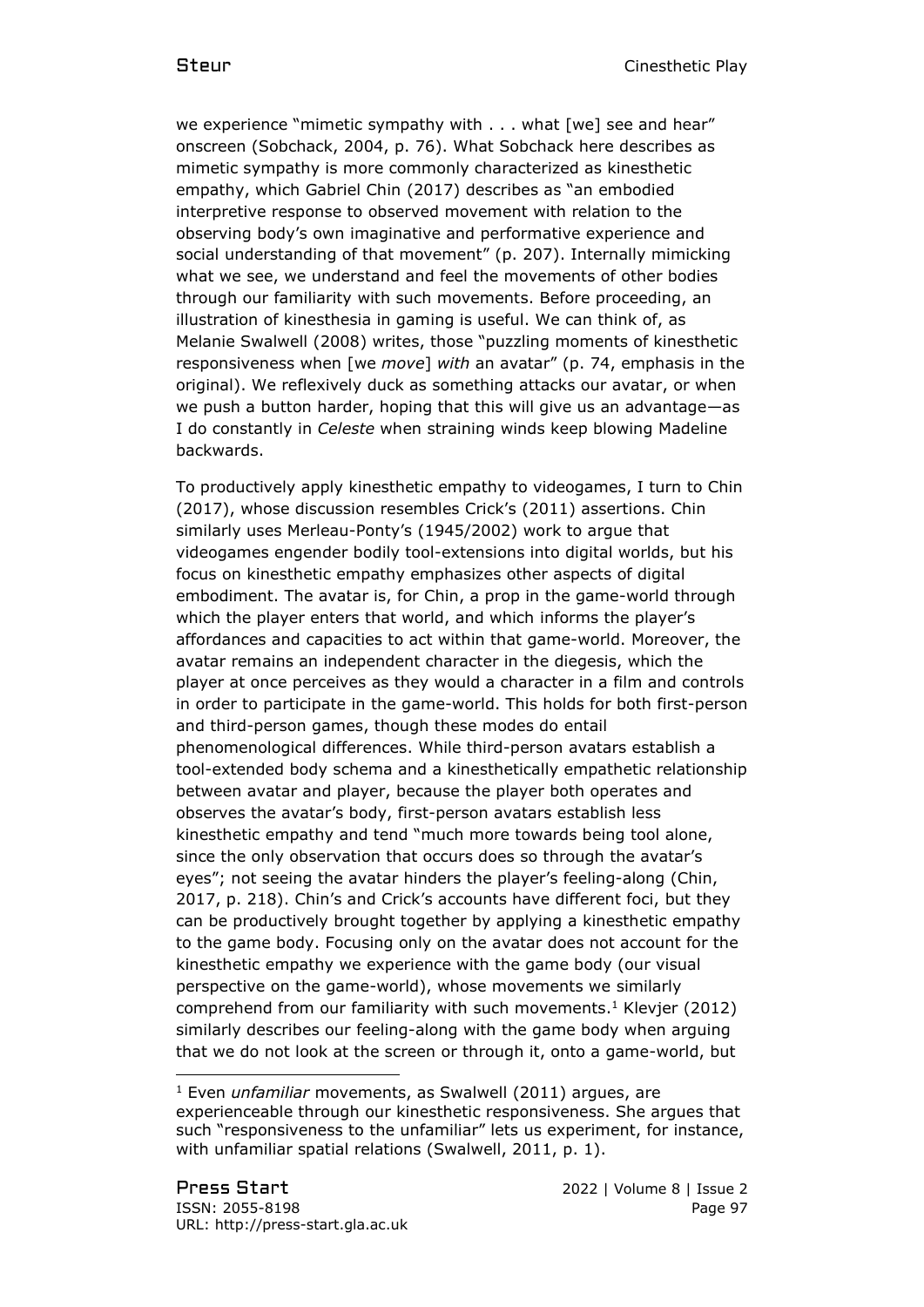we experience "mimetic sympathy with . . . what [we] see and hear" onscreen (Sobchack, 2004, p. 76). What Sobchack here describes as mimetic sympathy is more commonly characterized as kinesthetic empathy, which Gabriel Chin (2017) describes as "an embodied interpretive response to observed movement with relation to the observing body's own imaginative and performative experience and social understanding of that movement" (p. 207). Internally mimicking what we see, we understand and feel the movements of other bodies through our familiarity with such movements. Before proceeding, an illustration of kinesthesia in gaming is useful. We can think of, as Melanie Swalwell (2008) writes, those "puzzling moments of kinesthetic responsiveness when [we *move*] *with* an avatar" (p. 74, emphasis in the original). We reflexively duck as something attacks our avatar, or when we push a button harder, hoping that this will give us an advantage—as I do constantly in *Celeste* when straining winds keep blowing Madeline backwards.

To productively apply kinesthetic empathy to videogames, I turn to Chin (2017), whose discussion resembles Crick's (2011) assertions. Chin similarly uses Merleau-Ponty's (1945/2002) work to argue that videogames engender bodily tool-extensions into digital worlds, but his focus on kinesthetic empathy emphasizes other aspects of digital embodiment. The avatar is, for Chin, a prop in the game-world through which the player enters that world, and which informs the player's affordances and capacities to act within that game-world. Moreover, the avatar remains an independent character in the diegesis, which the player at once perceives as they would a character in a film and controls in order to participate in the game-world. This holds for both first-person and third-person games, though these modes do entail phenomenological differences. While third-person avatars establish a tool-extended body schema and a kinesthetically empathetic relationship between avatar and player, because the player both operates and observes the avatar's body, first-person avatars establish less kinesthetic empathy and tend "much more towards being tool alone, since the only observation that occurs does so through the avatar's eyes"; not seeing the avatar hinders the player's feeling-along (Chin, 2017, p. 218). Chin's and Crick's accounts have different foci, but they can be productively brought together by applying a kinesthetic empathy to the game body. Focusing only on the avatar does not account for the kinesthetic empathy we experience with the game body (our visual perspective on the game-world), whose movements we similarly comprehend from our familiarity with such movements. <sup>1</sup> Klevjer (2012) similarly describes our feeling-along with the game body when arguing that we do not look at the screen or through it, onto a game-world, but

<sup>1</sup> Even *unfamiliar* movements, as Swalwell (2011) argues, are experienceable through our kinesthetic responsiveness. She argues that such "responsiveness to the unfamiliar" lets us experiment, for instance, with unfamiliar spatial relations (Swalwell, 2011, p. 1).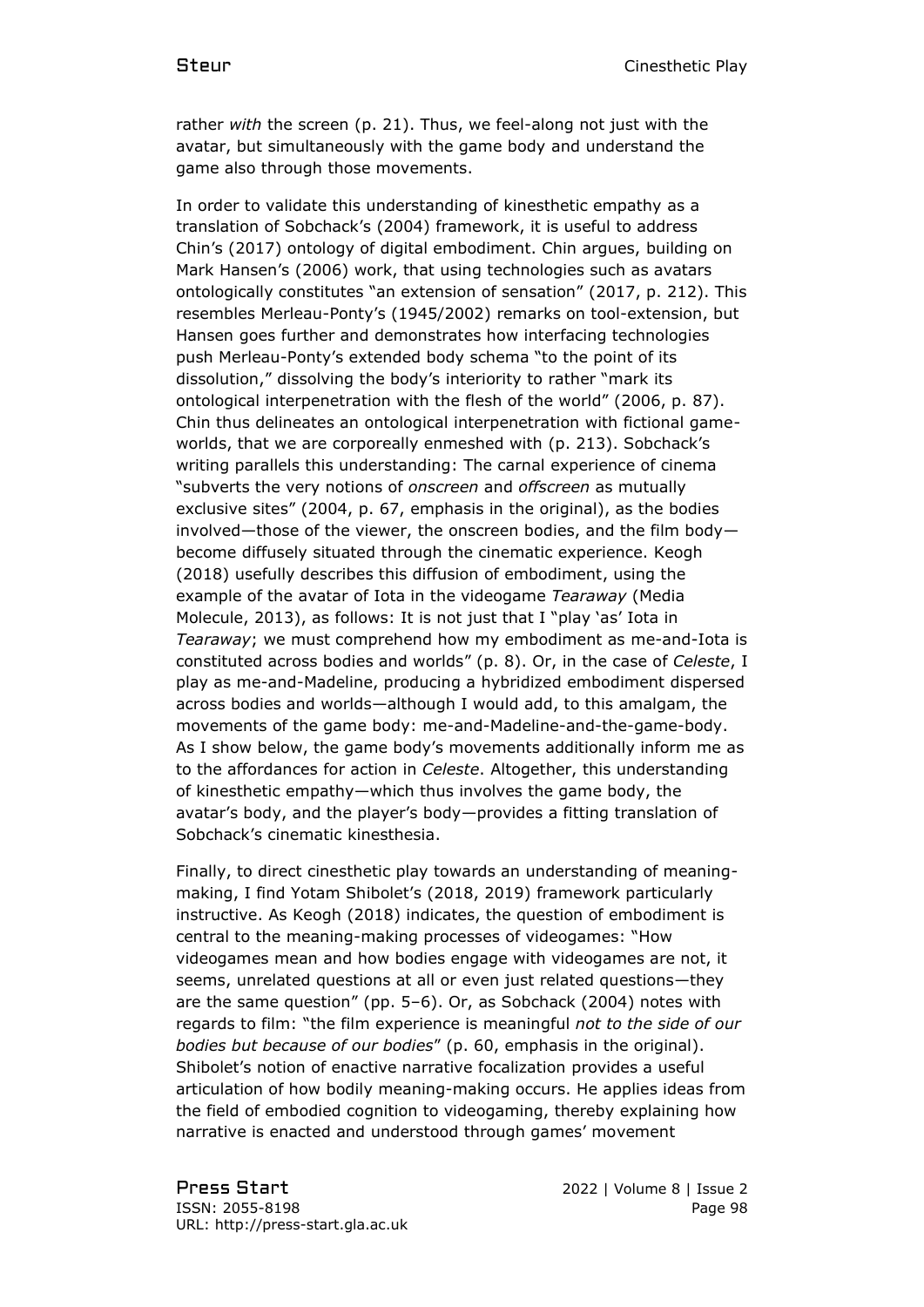rather *with* the screen (p. 21). Thus, we feel-along not just with the avatar, but simultaneously with the game body and understand the game also through those movements.

In order to validate this understanding of kinesthetic empathy as a translation of Sobchack's (2004) framework, it is useful to address Chin's (2017) ontology of digital embodiment. Chin argues, building on Mark Hansen's (2006) work, that using technologies such as avatars ontologically constitutes "an extension of sensation" (2017, p. 212). This resembles Merleau-Ponty's (1945/2002) remarks on tool-extension, but Hansen goes further and demonstrates how interfacing technologies push Merleau-Ponty's extended body schema "to the point of its dissolution," dissolving the body's interiority to rather "mark its ontological interpenetration with the flesh of the world" (2006, p. 87). Chin thus delineates an ontological interpenetration with fictional gameworlds, that we are corporeally enmeshed with (p. 213). Sobchack's writing parallels this understanding: The carnal experience of cinema "subverts the very notions of *onscreen* and *offscreen* as mutually exclusive sites" (2004, p. 67, emphasis in the original), as the bodies involved—those of the viewer, the onscreen bodies, and the film body become diffusely situated through the cinematic experience. Keogh (2018) usefully describes this diffusion of embodiment, using the example of the avatar of Iota in the videogame *Tearaway* (Media Molecule, 2013), as follows: It is not just that I "play 'as' Iota in *Tearaway*; we must comprehend how my embodiment as me-and-Iota is constituted across bodies and worlds" (p. 8). Or, in the case of *Celeste*, I play as me-and-Madeline, producing a hybridized embodiment dispersed across bodies and worlds—although I would add, to this amalgam, the movements of the game body: me-and-Madeline-and-the-game-body. As I show below, the game body's movements additionally inform me as to the affordances for action in *Celeste*. Altogether, this understanding of kinesthetic empathy—which thus involves the game body, the avatar's body, and the player's body—provides a fitting translation of Sobchack's cinematic kinesthesia.

Finally, to direct cinesthetic play towards an understanding of meaningmaking, I find Yotam Shibolet's (2018, 2019) framework particularly instructive. As Keogh (2018) indicates, the question of embodiment is central to the meaning-making processes of videogames: "How videogames mean and how bodies engage with videogames are not, it seems, unrelated questions at all or even just related questions—they are the same question" (pp. 5–6). Or, as Sobchack (2004) notes with regards to film: "the film experience is meaningful *not to the side of our bodies but because of our bodies*" (p. 60, emphasis in the original). Shibolet's notion of enactive narrative focalization provides a useful articulation of how bodily meaning-making occurs. He applies ideas from the field of embodied cognition to videogaming, thereby explaining how narrative is enacted and understood through games' movement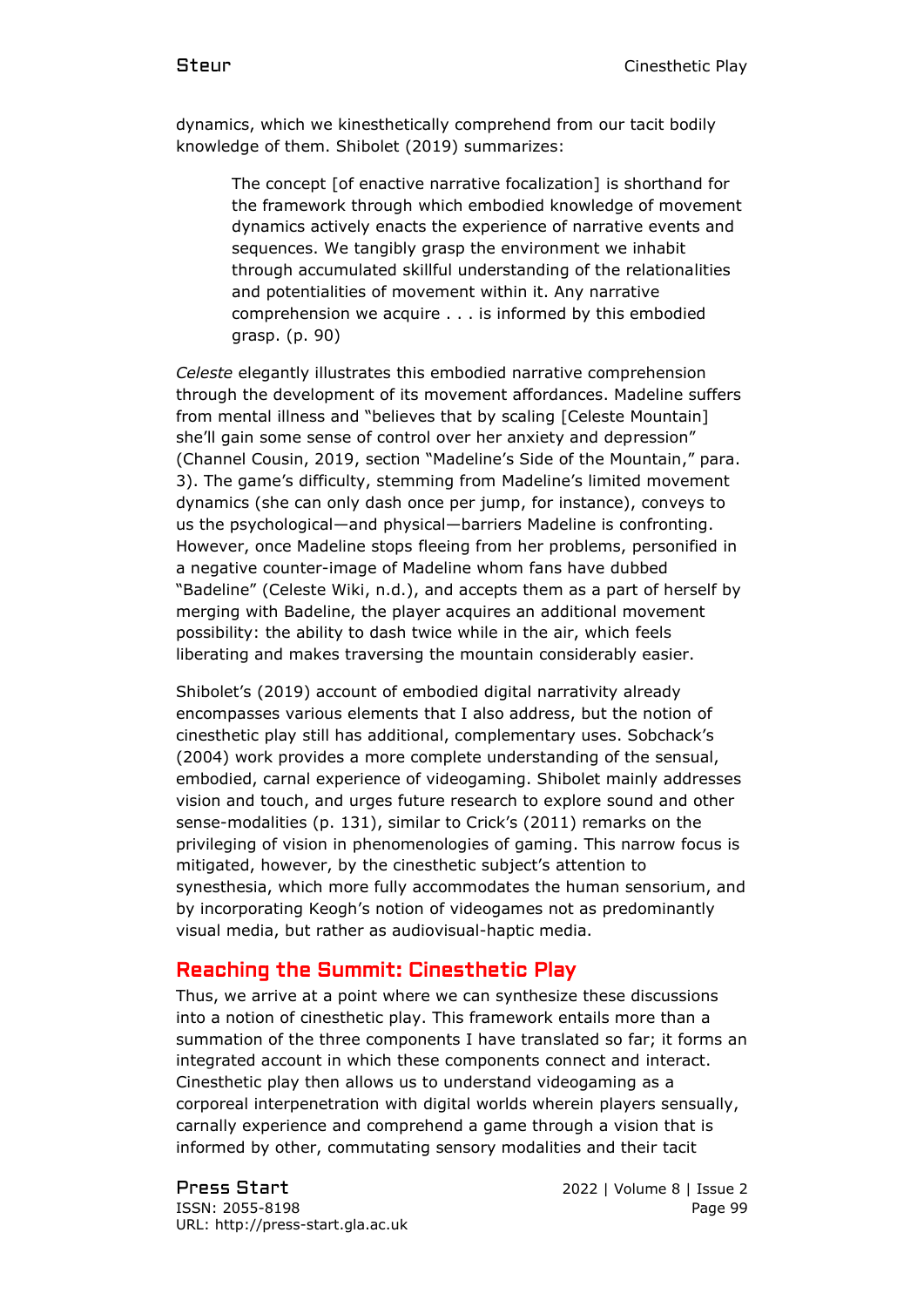dynamics, which we kinesthetically comprehend from our tacit bodily knowledge of them. Shibolet (2019) summarizes:

> The concept [of enactive narrative focalization] is shorthand for the framework through which embodied knowledge of movement dynamics actively enacts the experience of narrative events and sequences. We tangibly grasp the environment we inhabit through accumulated skillful understanding of the relationalities and potentialities of movement within it. Any narrative comprehension we acquire . . . is informed by this embodied grasp. (p. 90)

*Celeste* elegantly illustrates this embodied narrative comprehension through the development of its movement affordances. Madeline suffers from mental illness and "believes that by scaling [Celeste Mountain] she'll gain some sense of control over her anxiety and depression" (Channel Cousin, 2019, section "Madeline's Side of the Mountain," para. 3). The game's difficulty, stemming from Madeline's limited movement dynamics (she can only dash once per jump, for instance), conveys to us the psychological—and physical—barriers Madeline is confronting. However, once Madeline stops fleeing from her problems, personified in a negative counter-image of Madeline whom fans have dubbed "Badeline" (Celeste Wiki, n.d.), and accepts them as a part of herself by merging with Badeline, the player acquires an additional movement possibility: the ability to dash twice while in the air, which feels liberating and makes traversing the mountain considerably easier.

Shibolet's (2019) account of embodied digital narrativity already encompasses various elements that I also address, but the notion of cinesthetic play still has additional, complementary uses. Sobchack's (2004) work provides a more complete understanding of the sensual, embodied, carnal experience of videogaming. Shibolet mainly addresses vision and touch, and urges future research to explore sound and other sense-modalities (p. 131), similar to Crick's (2011) remarks on the privileging of vision in phenomenologies of gaming. This narrow focus is mitigated, however, by the cinesthetic subject's attention to synesthesia, which more fully accommodates the human sensorium, and by incorporating Keogh's notion of videogames not as predominantly visual media, but rather as audiovisual-haptic media.

#### Reaching the Summit: Cinesthetic Play

Thus, we arrive at a point where we can synthesize these discussions into a notion of cinesthetic play. This framework entails more than a summation of the three components I have translated so far; it forms an integrated account in which these components connect and interact. Cinesthetic play then allows us to understand videogaming as a corporeal interpenetration with digital worlds wherein players sensually, carnally experience and comprehend a game through a vision that is informed by other, commutating sensory modalities and their tacit

Press Start 2022 | Volume 8 | Issue 2 ISSN: 2055-8198 Page 99 URL: http://press-start.gla.ac.uk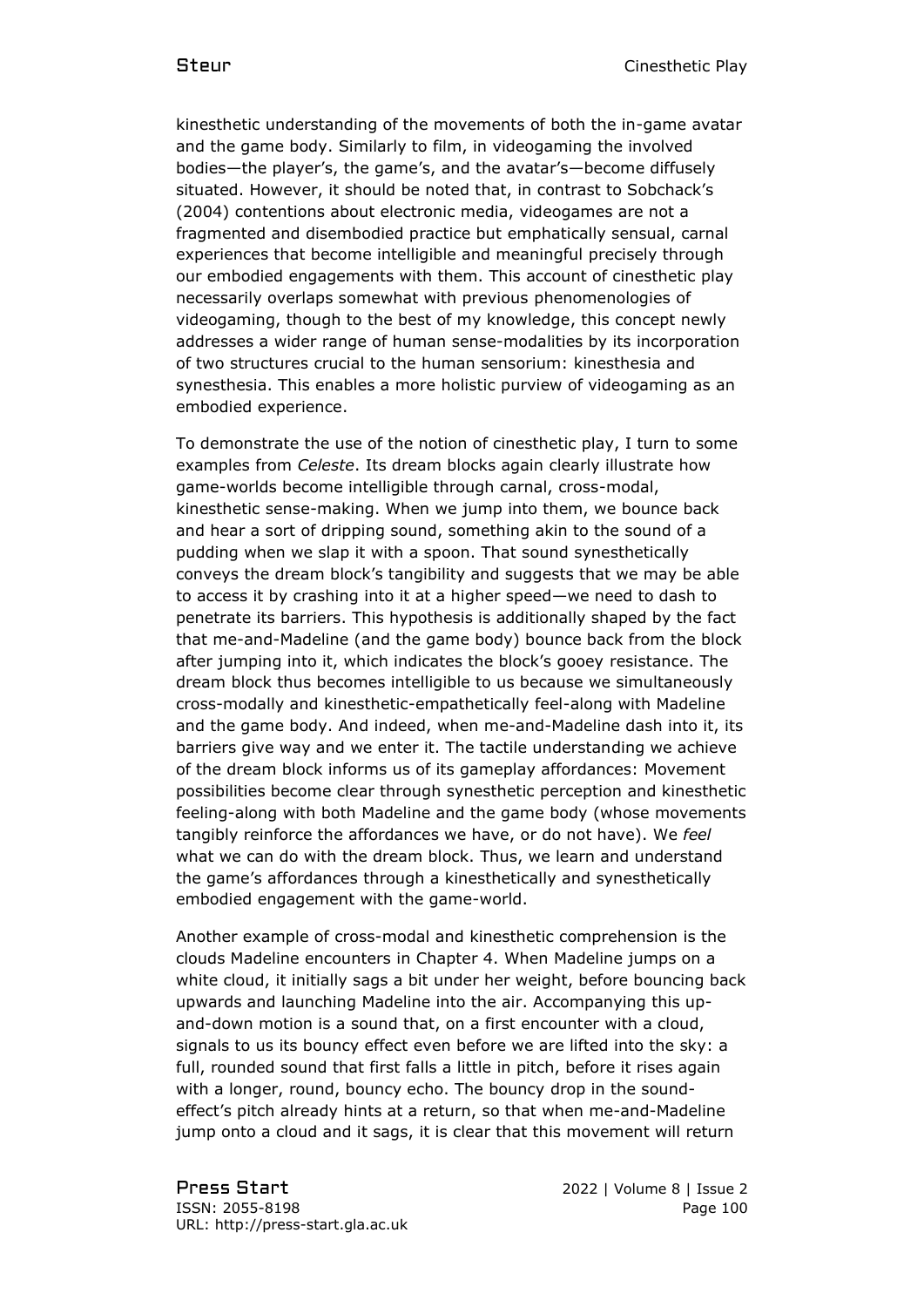kinesthetic understanding of the movements of both the in-game avatar and the game body. Similarly to film, in videogaming the involved bodies—the player's, the game's, and the avatar's—become diffusely situated. However, it should be noted that, in contrast to Sobchack's (2004) contentions about electronic media, videogames are not a fragmented and disembodied practice but emphatically sensual, carnal experiences that become intelligible and meaningful precisely through our embodied engagements with them. This account of cinesthetic play necessarily overlaps somewhat with previous phenomenologies of videogaming, though to the best of my knowledge, this concept newly addresses a wider range of human sense-modalities by its incorporation of two structures crucial to the human sensorium: kinesthesia and synesthesia. This enables a more holistic purview of videogaming as an embodied experience.

To demonstrate the use of the notion of cinesthetic play, I turn to some examples from *Celeste*. Its dream blocks again clearly illustrate how game-worlds become intelligible through carnal, cross-modal, kinesthetic sense-making. When we jump into them, we bounce back and hear a sort of dripping sound, something akin to the sound of a pudding when we slap it with a spoon. That sound synesthetically conveys the dream block's tangibility and suggests that we may be able to access it by crashing into it at a higher speed—we need to dash to penetrate its barriers. This hypothesis is additionally shaped by the fact that me-and-Madeline (and the game body) bounce back from the block after jumping into it, which indicates the block's gooey resistance. The dream block thus becomes intelligible to us because we simultaneously cross-modally and kinesthetic-empathetically feel-along with Madeline and the game body. And indeed, when me-and-Madeline dash into it, its barriers give way and we enter it. The tactile understanding we achieve of the dream block informs us of its gameplay affordances: Movement possibilities become clear through synesthetic perception and kinesthetic feeling-along with both Madeline and the game body (whose movements tangibly reinforce the affordances we have, or do not have). We *feel* what we can do with the dream block. Thus, we learn and understand the game's affordances through a kinesthetically and synesthetically embodied engagement with the game-world.

Another example of cross-modal and kinesthetic comprehension is the clouds Madeline encounters in Chapter 4. When Madeline jumps on a white cloud, it initially sags a bit under her weight, before bouncing back upwards and launching Madeline into the air. Accompanying this upand-down motion is a sound that, on a first encounter with a cloud, signals to us its bouncy effect even before we are lifted into the sky: a full, rounded sound that first falls a little in pitch, before it rises again with a longer, round, bouncy echo. The bouncy drop in the soundeffect's pitch already hints at a return, so that when me-and-Madeline jump onto a cloud and it sags, it is clear that this movement will return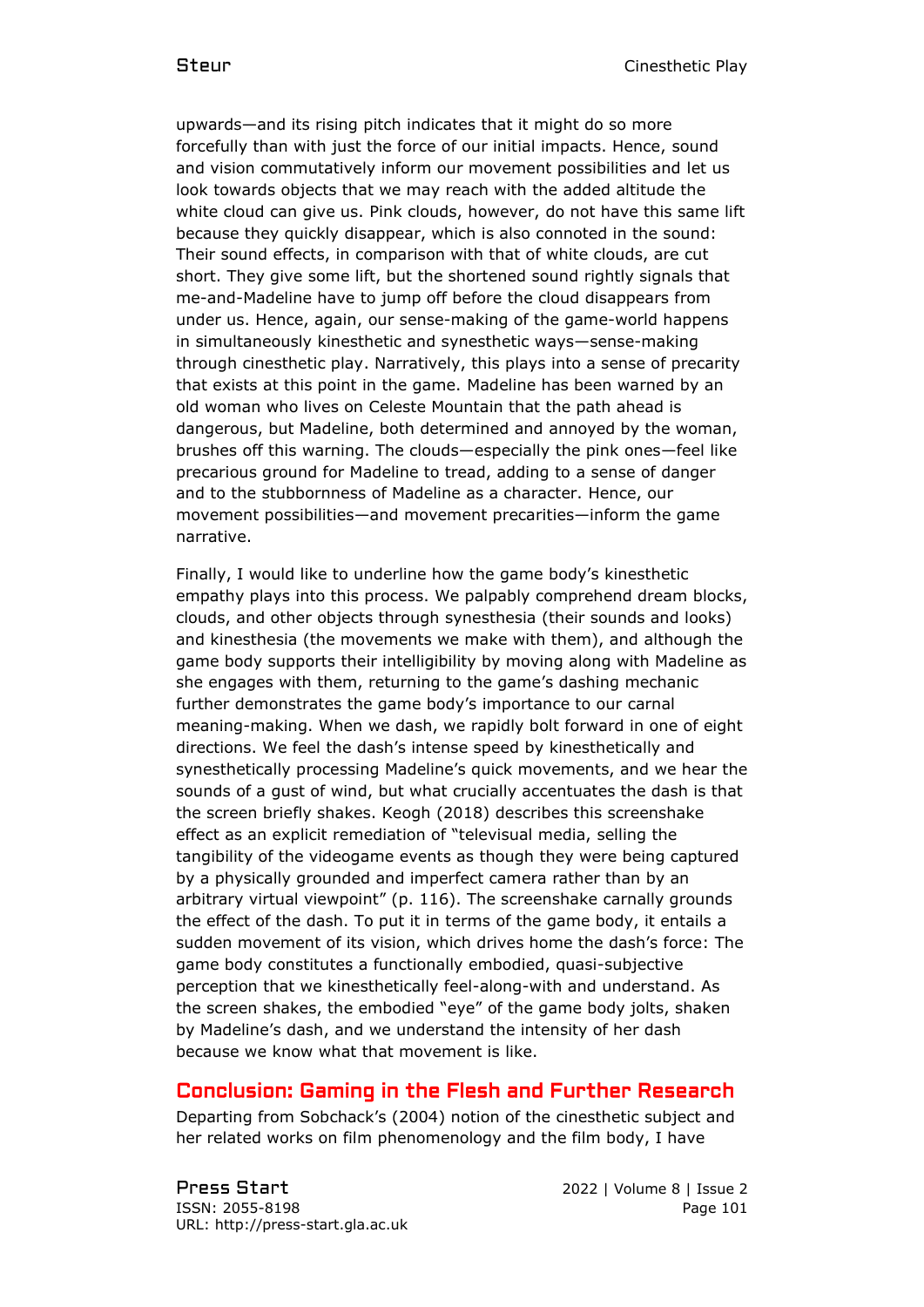upwards—and its rising pitch indicates that it might do so more forcefully than with just the force of our initial impacts. Hence, sound and vision commutatively inform our movement possibilities and let us look towards objects that we may reach with the added altitude the white cloud can give us. Pink clouds, however, do not have this same lift because they quickly disappear, which is also connoted in the sound: Their sound effects, in comparison with that of white clouds, are cut short. They give some lift, but the shortened sound rightly signals that me-and-Madeline have to jump off before the cloud disappears from under us. Hence, again, our sense-making of the game-world happens in simultaneously kinesthetic and synesthetic ways—sense-making through cinesthetic play. Narratively, this plays into a sense of precarity that exists at this point in the game. Madeline has been warned by an old woman who lives on Celeste Mountain that the path ahead is dangerous, but Madeline, both determined and annoyed by the woman, brushes off this warning. The clouds—especially the pink ones—feel like precarious ground for Madeline to tread, adding to a sense of danger and to the stubbornness of Madeline as a character. Hence, our movement possibilities—and movement precarities—inform the game narrative.

Finally, I would like to underline how the game body's kinesthetic empathy plays into this process. We palpably comprehend dream blocks, clouds, and other objects through synesthesia (their sounds and looks) and kinesthesia (the movements we make with them), and although the game body supports their intelligibility by moving along with Madeline as she engages with them, returning to the game's dashing mechanic further demonstrates the game body's importance to our carnal meaning-making. When we dash, we rapidly bolt forward in one of eight directions. We feel the dash's intense speed by kinesthetically and synesthetically processing Madeline's quick movements, and we hear the sounds of a gust of wind, but what crucially accentuates the dash is that the screen briefly shakes. Keogh (2018) describes this screenshake effect as an explicit remediation of "televisual media, selling the tangibility of the videogame events as though they were being captured by a physically grounded and imperfect camera rather than by an arbitrary virtual viewpoint" (p. 116). The screenshake carnally grounds the effect of the dash. To put it in terms of the game body, it entails a sudden movement of its vision, which drives home the dash's force: The game body constitutes a functionally embodied, quasi-subjective perception that we kinesthetically feel-along-with and understand. As the screen shakes, the embodied "eye" of the game body jolts, shaken by Madeline's dash, and we understand the intensity of her dash because we know what that movement is like.

#### Conclusion: Gaming in the Flesh and Further Research

Departing from Sobchack's (2004) notion of the cinesthetic subject and her related works on film phenomenology and the film body, I have

Press Start 2022 | Volume 8 | Issue 2 ISSN: 2055-8198 Page 101 URL: http://press-start.gla.ac.uk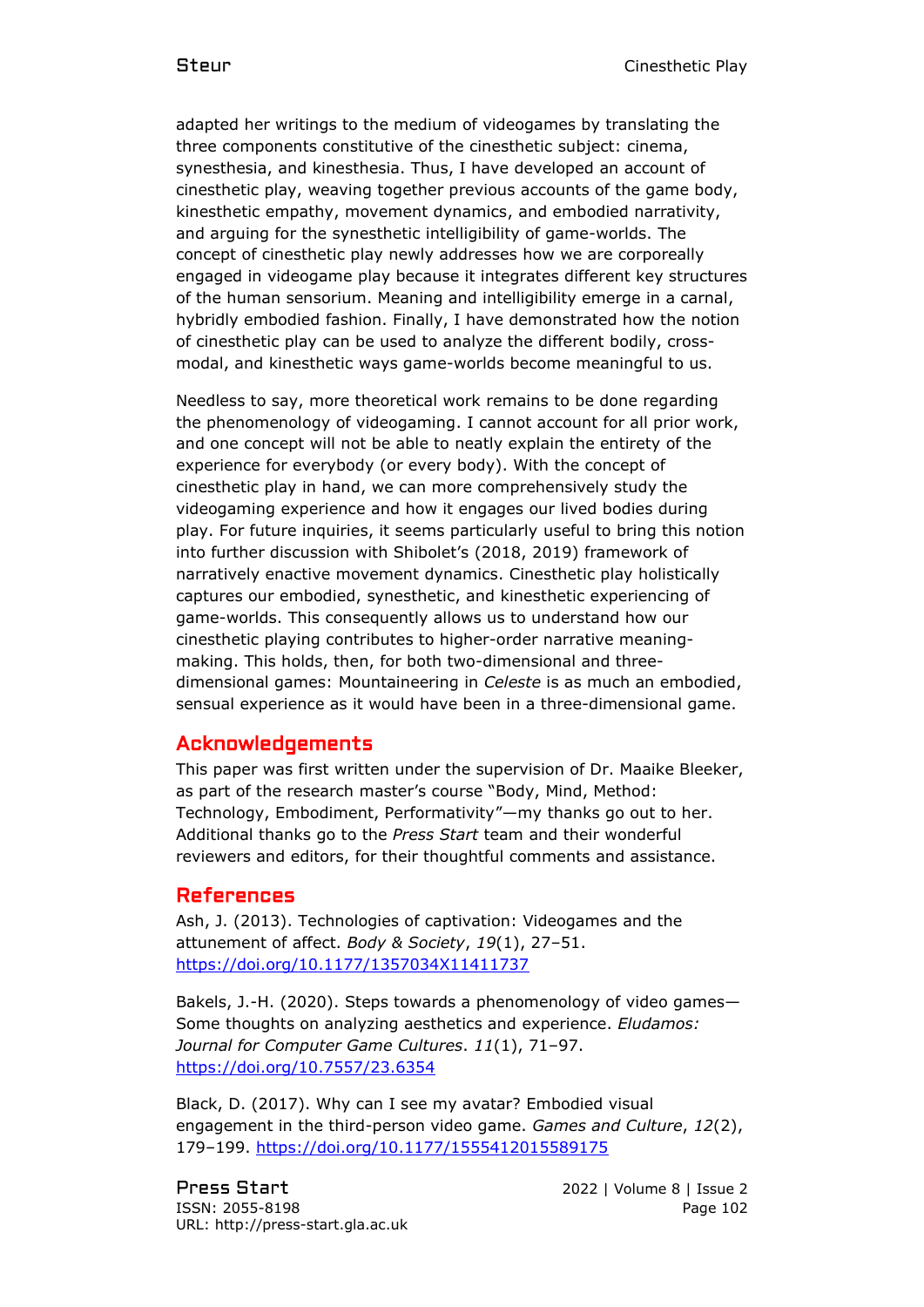adapted her writings to the medium of videogames by translating the three components constitutive of the cinesthetic subject: cinema, synesthesia, and kinesthesia. Thus, I have developed an account of cinesthetic play, weaving together previous accounts of the game body, kinesthetic empathy, movement dynamics, and embodied narrativity, and arguing for the synesthetic intelligibility of game-worlds. The concept of cinesthetic play newly addresses how we are corporeally engaged in videogame play because it integrates different key structures of the human sensorium. Meaning and intelligibility emerge in a carnal, hybridly embodied fashion. Finally, I have demonstrated how the notion of cinesthetic play can be used to analyze the different bodily, crossmodal, and kinesthetic ways game-worlds become meaningful to us.

Needless to say, more theoretical work remains to be done regarding the phenomenology of videogaming. I cannot account for all prior work, and one concept will not be able to neatly explain the entirety of the experience for everybody (or every body). With the concept of cinesthetic play in hand, we can more comprehensively study the videogaming experience and how it engages our lived bodies during play. For future inquiries, it seems particularly useful to bring this notion into further discussion with Shibolet's (2018, 2019) framework of narratively enactive movement dynamics. Cinesthetic play holistically captures our embodied, synesthetic, and kinesthetic experiencing of game-worlds. This consequently allows us to understand how our cinesthetic playing contributes to higher-order narrative meaningmaking. This holds, then, for both two-dimensional and threedimensional games: Mountaineering in *Celeste* is as much an embodied, sensual experience as it would have been in a three-dimensional game.

## Acknowledgements

This paper was first written under the supervision of Dr. Maaike Bleeker, as part of the research master's course "Body, Mind, Method: Technology, Embodiment, Performativity"—my thanks go out to her. Additional thanks go to the *Press Start* team and their wonderful reviewers and editors, for their thoughtful comments and assistance.

#### References

Ash, J. (2013). Technologies of captivation: Videogames and the attunement of affect. *Body & Society*, *19*(1), 27–51. <https://doi.org/10.1177/1357034X11411737>

Bakels, J.-H. (2020). Steps towards a phenomenology of video games— Some thoughts on analyzing aesthetics and experience. *Eludamos: Journal for Computer Game Cultures*. *11*(1), 71–97. <https://doi.org/10.7557/23.6354>

Black, D. (2017). Why can I see my avatar? Embodied visual engagement in the third-person video game. *Games and Culture*, *12*(2), 179–199.<https://doi.org/10.1177/1555412015589175>

Press Start 2022 | Volume 8 | Issue 2 ISSN: 2055-8198 Page 102 URL: http://press-start.gla.ac.uk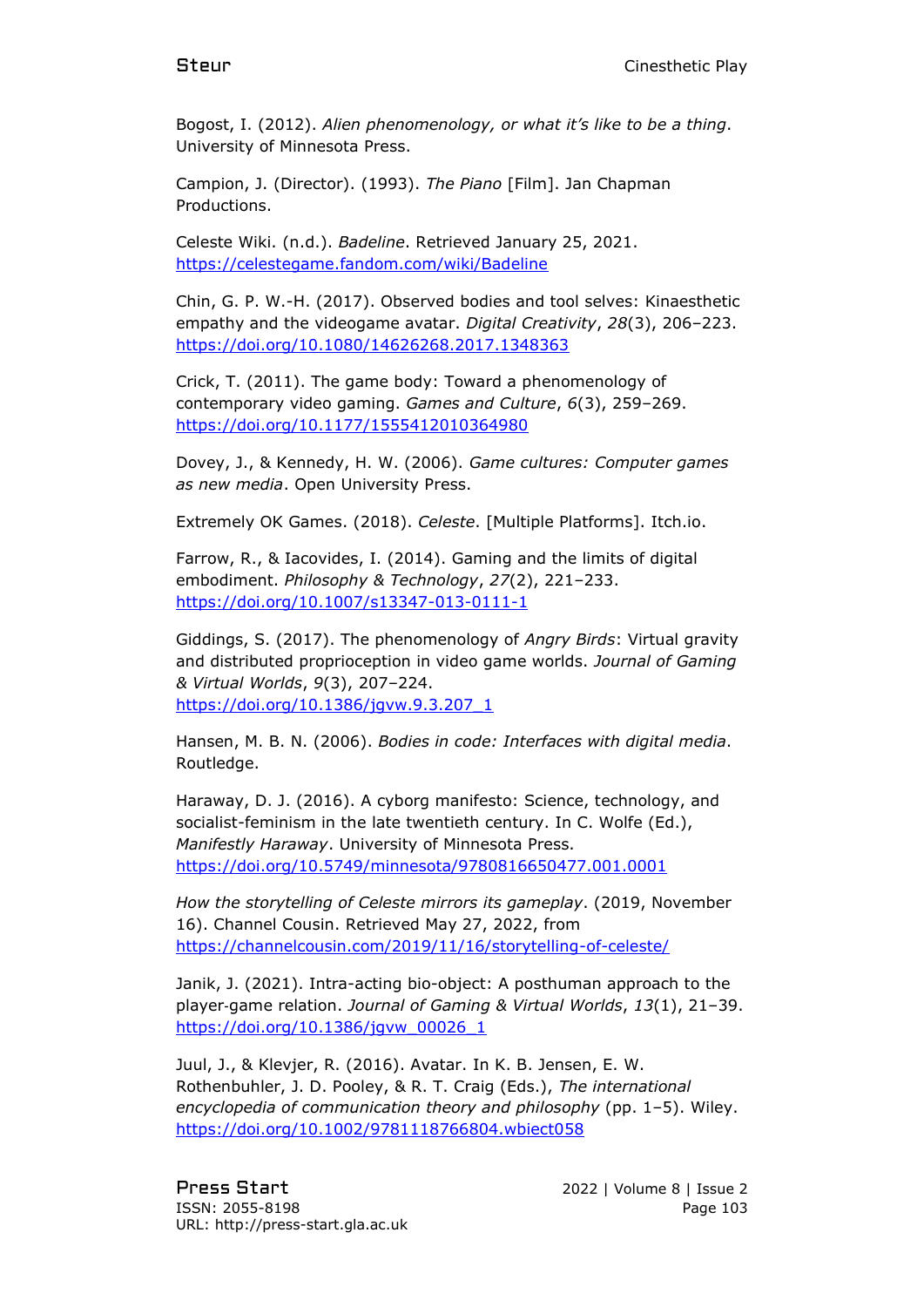Bogost, I. (2012). *Alien phenomenology, or what it's like to be a thing*. University of Minnesota Press.

Campion, J. (Director). (1993). *The Piano* [Film]. Jan Chapman Productions.

Celeste Wiki. (n.d.). *Badeline*. Retrieved January 25, 2021. <https://celestegame.fandom.com/wiki/Badeline>

Chin, G. P. W.-H. (2017). Observed bodies and tool selves: Kinaesthetic empathy and the videogame avatar. *Digital Creativity*, *28*(3), 206–223. <https://doi.org/10.1080/14626268.2017.1348363>

Crick, T. (2011). The game body: Toward a phenomenology of contemporary video gaming. *Games and Culture*, *6*(3), 259–269. <https://doi.org/10.1177/1555412010364980>

Dovey, J., & Kennedy, H. W. (2006). *Game cultures: Computer games as new media*. Open University Press.

Extremely OK Games. (2018). *Celeste*. [Multiple Platforms]. Itch.io.

Farrow, R., & Iacovides, I. (2014). Gaming and the limits of digital embodiment. *Philosophy & Technology*, *27*(2), 221–233. <https://doi.org/10.1007/s13347-013-0111-1>

Giddings, S. (2017). The phenomenology of *Angry Birds*: Virtual gravity and distributed proprioception in video game worlds. *Journal of Gaming & Virtual Worlds*, *9*(3), 207–224. [https://doi.org/10.1386/jgvw.9.3.207\\_1](https://doi.org/10.1386/jgvw.9.3.207_1)

Hansen, M. B. N. (2006). *Bodies in code: Interfaces with digital media*. Routledge.

Haraway, D. J. (2016). A cyborg manifesto: Science, technology, and socialist-feminism in the late twentieth century. In C. Wolfe (Ed.), *Manifestly Haraway*. University of Minnesota Press. <https://doi.org/10.5749/minnesota/9780816650477.001.0001>

*How the storytelling of Celeste mirrors its gameplay*. (2019, November 16). Channel Cousin. Retrieved May 27, 2022, from <https://channelcousin.com/2019/11/16/storytelling-of-celeste/>

Janik, J. (2021). Intra-acting bio-object: A posthuman approach to the player‐game relation. *Journal of Gaming & Virtual Worlds*, *13*(1), 21–39. [https://doi.org/10.1386/jgvw\\_00026\\_1](https://doi.org/10.1386/jgvw_00026_1)

Juul, J., & Klevjer, R. (2016). Avatar. In K. B. Jensen, E. W. Rothenbuhler, J. D. Pooley, & R. T. Craig (Eds.), *The international encyclopedia of communication theory and philosophy* (pp. 1–5). Wiley. <https://doi.org/10.1002/9781118766804.wbiect058>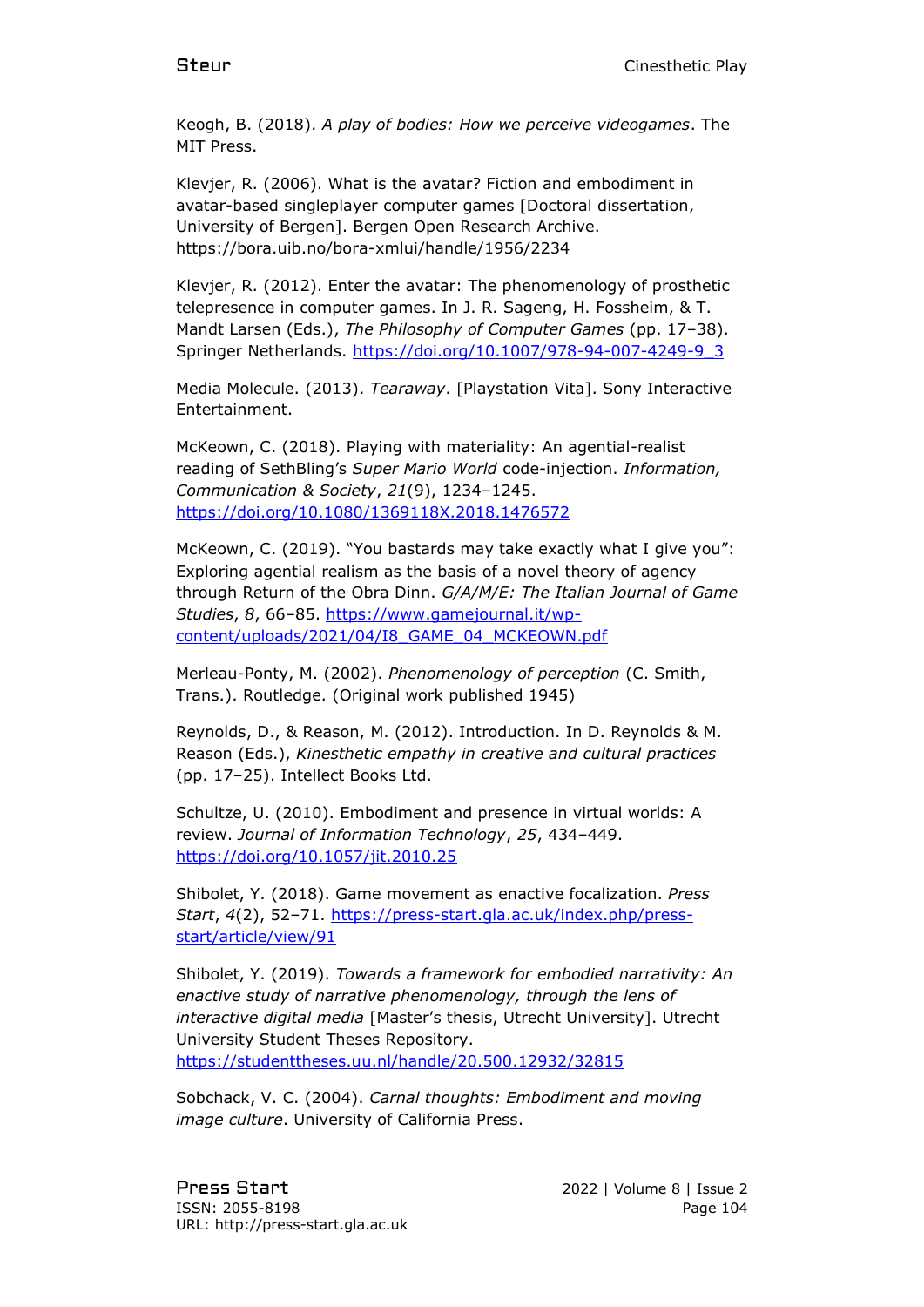Keogh, B. (2018). *A play of bodies: How we perceive videogames*. The MIT Press.

Klevjer, R. (2006). What is the avatar? Fiction and embodiment in avatar-based singleplayer computer games [Doctoral dissertation, University of Bergen]. Bergen Open Research Archive. https://bora.uib.no/bora-xmlui/handle/1956/2234

Klevjer, R. (2012). Enter the avatar: The phenomenology of prosthetic telepresence in computer games. In J. R. Sageng, H. Fossheim, & T. Mandt Larsen (Eds.), *The Philosophy of Computer Games* (pp. 17–38). Springer Netherlands. [https://doi.org/10.1007/978-94-007-4249-9\\_3](https://doi.org/10.1007/978-94-007-4249-9_3)

Media Molecule. (2013). *Tearaway*. [Playstation Vita]. Sony Interactive Entertainment.

McKeown, C. (2018). Playing with materiality: An agential-realist reading of SethBling's *Super Mario World* code-injection. *Information, Communication & Society*, *21*(9), 1234–1245. <https://doi.org/10.1080/1369118X.2018.1476572>

McKeown, C. (2019). "You bastards may take exactly what I give you": Exploring agential realism as the basis of a novel theory of agency through Return of the Obra Dinn. *G/A/M/E: The Italian Journal of Game Studies*, *8*, 66–85. [https://www.gamejournal.it/wp](https://www.gamejournal.it/wp-content/uploads/2021/04/I8_GAME_04_MCKEOWN.pdf)[content/uploads/2021/04/I8\\_GAME\\_04\\_MCKEOWN.pdf](https://www.gamejournal.it/wp-content/uploads/2021/04/I8_GAME_04_MCKEOWN.pdf)

Merleau-Ponty, M. (2002). *Phenomenology of perception* (C. Smith, Trans.). Routledge. (Original work published 1945)

Reynolds, D., & Reason, M. (2012). Introduction. In D. Reynolds & M. Reason (Eds.), *Kinesthetic empathy in creative and cultural practices* (pp. 17–25). Intellect Books Ltd.

Schultze, U. (2010). Embodiment and presence in virtual worlds: A review. *Journal of Information Technology*, *25*, 434–449. <https://doi.org/10.1057/jit.2010.25>

Shibolet, Y. (2018). Game movement as enactive focalization. *Press Start*, *4*(2), 52–71. [https://press-start.gla.ac.uk/index.php/press](https://press-start.gla.ac.uk/index.php/press-start/article/view/91)[start/article/view/91](https://press-start.gla.ac.uk/index.php/press-start/article/view/91)

Shibolet, Y. (2019). *Towards a framework for embodied narrativity: An enactive study of narrative phenomenology, through the lens of interactive digital media* [Master's thesis, Utrecht University]. Utrecht University Student Theses Repository. <https://studenttheses.uu.nl/handle/20.500.12932/32815>

Sobchack, V. C. (2004). *Carnal thoughts: Embodiment and moving image culture*. University of California Press.